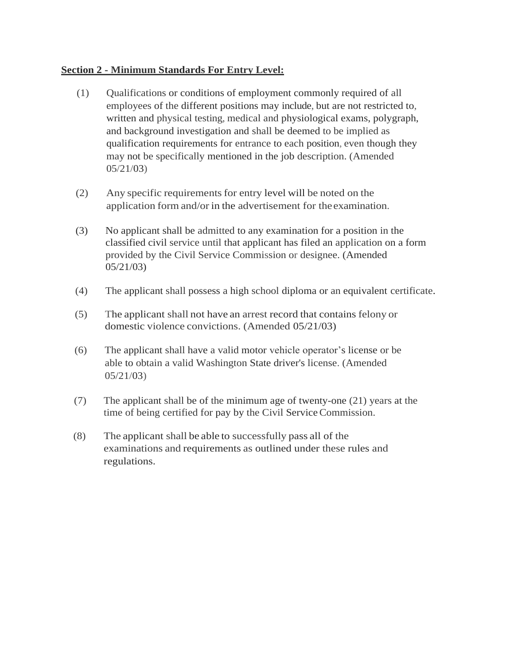## **Section 2 - Minimum Standards For Entry Level:**

- (1) Qualifications or conditions of employment commonly required of all employees of the different positions may include, but are not restricted to, written and physical testing, medical and physiological exams, polygraph, and background investigation and shall be deemed to be implied as qualification requirements for entrance to each position, even though they may not be specifically mentioned in the job description. (Amended 05/21/03)
- (2) Any specific requirements for entry level will be noted on the application form and/or in the advertisement for the examination.
- (3) No applicant shall be admitted to any examination for a position in the classified civil service until that applicant has filed an application on a form provided by the Civil Service Commission or designee. (Amended 05/21/03)
- (4) The applicant shall possess a high school diploma or an equivalent certificate.
- (5) The applicant shall not have an arrest record that contains felony or domestic violence convictions. (Amended 05/21/03)
- (6) The applicant shall have a valid motor vehicle operator's license or be able to obtain a valid Washington State driver's license. (Amended 05/21/03)
- (7) The applicant shall be of the minimum age of twenty-one (21) years at the time of being certified for pay by the Civil Service Commission.
- (8) The applicant shall be able to successfully pass all of the examinations and requirements as outlined under these rules and regulations.